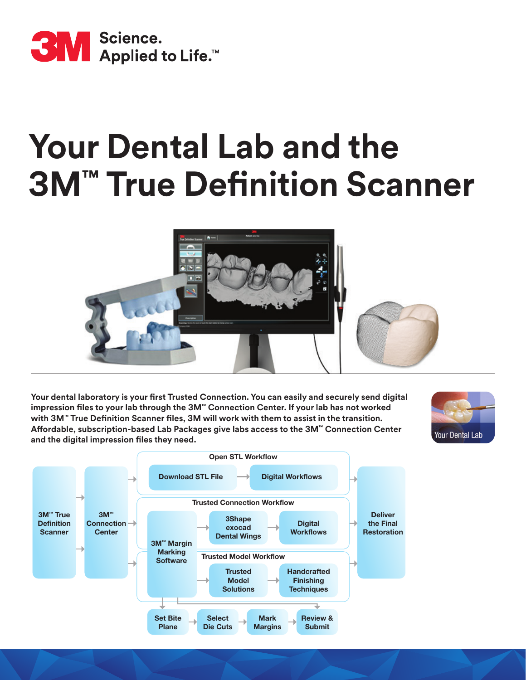

# **Your Dental Lab and the 3M™ True Definition Scanner**



**Your dental laboratory is your first Trusted Connection. You can easily and securely send digital impression files to your lab through the 3M™ Connection Center. If your lab has not worked with 3M™ True Definition Scanner files, 3M will work with them to assist in the transition. Affordable, subscription-based Lab Packages give labs access to the 3M™ Connection Center and the digital impression files they need.**